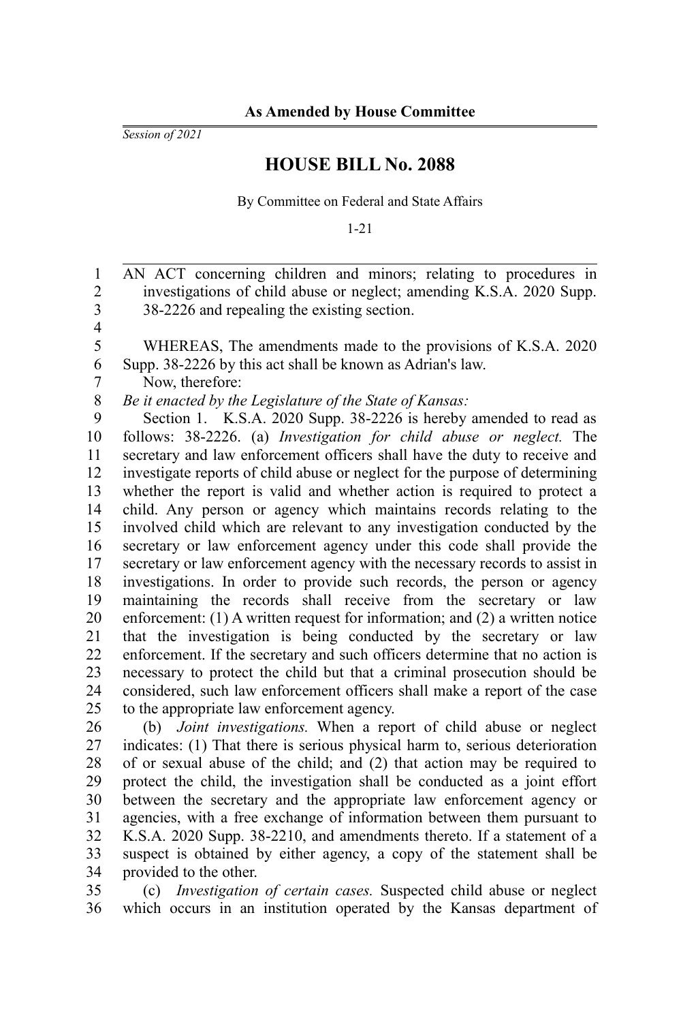*Session of 2021*

## **HOUSE BILL No. 2088**

By Committee on Federal and State Affairs

1-21

AN ACT concerning children and minors; relating to procedures in investigations of child abuse or neglect; amending K.S.A. 2020 Supp. 38-2226 and repealing the existing section. WHEREAS, The amendments made to the provisions of K.S.A. 2020 Supp. 38-2226 by this act shall be known as Adrian's law. Now, therefore: *Be it enacted by the Legislature of the State of Kansas:* Section 1. K.S.A. 2020 Supp. 38-2226 is hereby amended to read as follows: 38-2226. (a) *Investigation for child abuse or neglect.* The secretary and law enforcement officers shall have the duty to receive and investigate reports of child abuse or neglect for the purpose of determining whether the report is valid and whether action is required to protect a child. Any person or agency which maintains records relating to the involved child which are relevant to any investigation conducted by the secretary or law enforcement agency under this code shall provide the secretary or law enforcement agency with the necessary records to assist in investigations. In order to provide such records, the person or agency maintaining the records shall receive from the secretary or law enforcement: (1) A written request for information; and (2) a written notice that the investigation is being conducted by the secretary or law enforcement. If the secretary and such officers determine that no action is necessary to protect the child but that a criminal prosecution should be considered, such law enforcement officers shall make a report of the case to the appropriate law enforcement agency. 1 2 3 4 5 6 7 8 9 10 11 12 13 14 15 16 17 18 19 20 21 22 23 24 25

(b) *Joint investigations.* When a report of child abuse or neglect indicates: (1) That there is serious physical harm to, serious deterioration of or sexual abuse of the child; and (2) that action may be required to protect the child, the investigation shall be conducted as a joint effort between the secretary and the appropriate law enforcement agency or agencies, with a free exchange of information between them pursuant to K.S.A. 2020 Supp. 38-2210, and amendments thereto. If a statement of a suspect is obtained by either agency, a copy of the statement shall be provided to the other. 26 27 28 29 30 31 32 33 34

(c) *Investigation of certain cases.* Suspected child abuse or neglect which occurs in an institution operated by the Kansas department of 35 36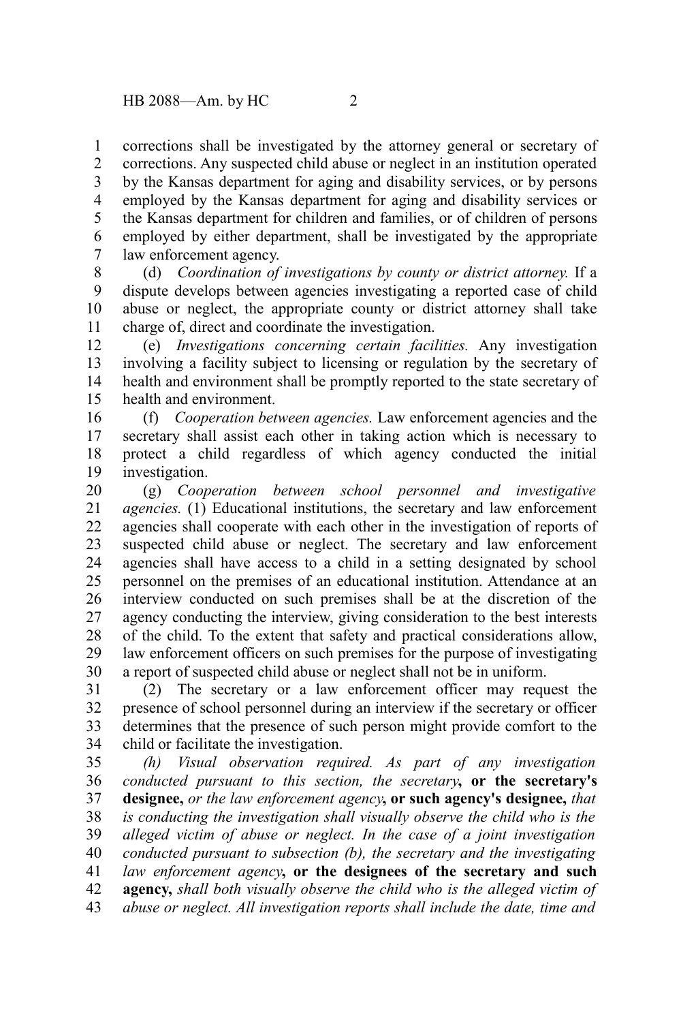corrections shall be investigated by the attorney general or secretary of corrections. Any suspected child abuse or neglect in an institution operated by the Kansas department for aging and disability services, or by persons employed by the Kansas department for aging and disability services or the Kansas department for children and families, or of children of persons employed by either department, shall be investigated by the appropriate law enforcement agency. 1 2 3 4 5 6 7

(d) *Coordination of investigations by county or district attorney.* If a dispute develops between agencies investigating a reported case of child abuse or neglect, the appropriate county or district attorney shall take charge of, direct and coordinate the investigation. 8 9 10 11

(e) *Investigations concerning certain facilities.* Any investigation involving a facility subject to licensing or regulation by the secretary of health and environment shall be promptly reported to the state secretary of health and environment. 12 13 14 15

(f) *Cooperation between agencies.* Law enforcement agencies and the secretary shall assist each other in taking action which is necessary to protect a child regardless of which agency conducted the initial investigation. 16 17 18 19

(g) *Cooperation between school personnel and investigative agencies.* (1) Educational institutions, the secretary and law enforcement agencies shall cooperate with each other in the investigation of reports of suspected child abuse or neglect. The secretary and law enforcement agencies shall have access to a child in a setting designated by school personnel on the premises of an educational institution. Attendance at an interview conducted on such premises shall be at the discretion of the agency conducting the interview, giving consideration to the best interests of the child. To the extent that safety and practical considerations allow, law enforcement officers on such premises for the purpose of investigating a report of suspected child abuse or neglect shall not be in uniform. 20 21 22 23 24 25 26 27 28 29 30

(2) The secretary or a law enforcement officer may request the presence of school personnel during an interview if the secretary or officer determines that the presence of such person might provide comfort to the child or facilitate the investigation. 31 32 33 34

*(h) Visual observation required. As part of any investigation conducted pursuant to this section, the secretary***, or the secretary's designee,** *or the law enforcement agency***, or such agency's designee,** *that is conducting the investigation shall visually observe the child who is the alleged victim of abuse or neglect. In the case of a joint investigation conducted pursuant to subsection (b), the secretary and the investigating law enforcement agency***, or the designees of the secretary and such agency,** *shall both visually observe the child who is the alleged victim of abuse or neglect. All investigation reports shall include the date, time and* 35 36 37 38 39 40 41 42 43